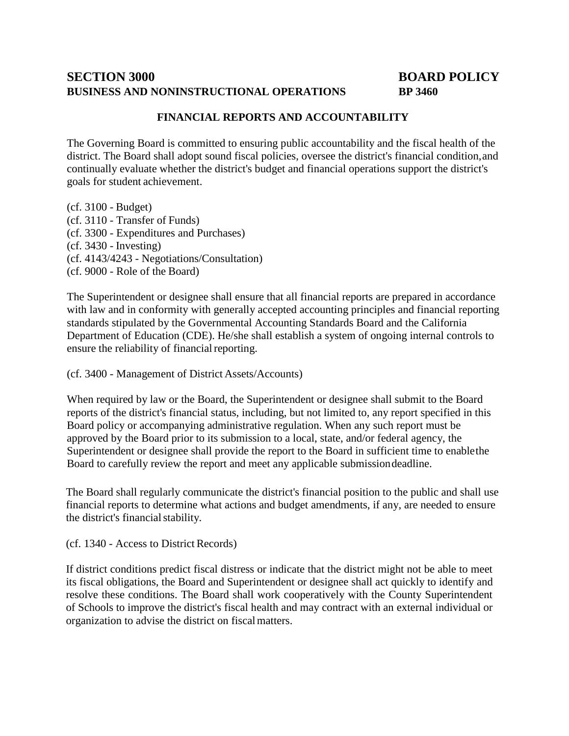# **SECTION 3000 BOARD POLICY BUSINESS AND NONINSTRUCTIONAL OPERATIONS BP 3460**

## **FINANCIAL REPORTS AND ACCOUNTABILITY**

The Governing Board is committed to ensuring public accountability and the fiscal health of the district. The Board shall adopt sound fiscal policies, oversee the district's financial condition,and continually evaluate whether the district's budget and financial operations support the district's goals for student achievement.

(cf. 3100 - Budget) (cf. 3110 - Transfer of Funds) (cf. 3300 - Expenditures and Purchases) (cf. 3430 - Investing) (cf. 4143/4243 - Negotiations/Consultation) (cf. 9000 - Role of the Board)

The Superintendent or designee shall ensure that all financial reports are prepared in accordance with law and in conformity with generally accepted accounting principles and financial reporting standards stipulated by the Governmental Accounting Standards Board and the California Department of Education (CDE). He/she shall establish a system of ongoing internal controls to ensure the reliability of financial reporting.

(cf. 3400 - Management of District Assets/Accounts)

When required by law or the Board, the Superintendent or designee shall submit to the Board reports of the district's financial status, including, but not limited to, any report specified in this Board policy or accompanying administrative regulation. When any such report must be approved by the Board prior to its submission to a local, state, and/or federal agency, the Superintendent or designee shall provide the report to the Board in sufficient time to enablethe Board to carefully review the report and meet any applicable submissiondeadline.

The Board shall regularly communicate the district's financial position to the public and shall use financial reports to determine what actions and budget amendments, if any, are needed to ensure the district's financial stability.

(cf. 1340 - Access to District Records)

If district conditions predict fiscal distress or indicate that the district might not be able to meet its fiscal obligations, the Board and Superintendent or designee shall act quickly to identify and resolve these conditions. The Board shall work cooperatively with the County Superintendent of Schools to improve the district's fiscal health and may contract with an external individual or organization to advise the district on fiscalmatters.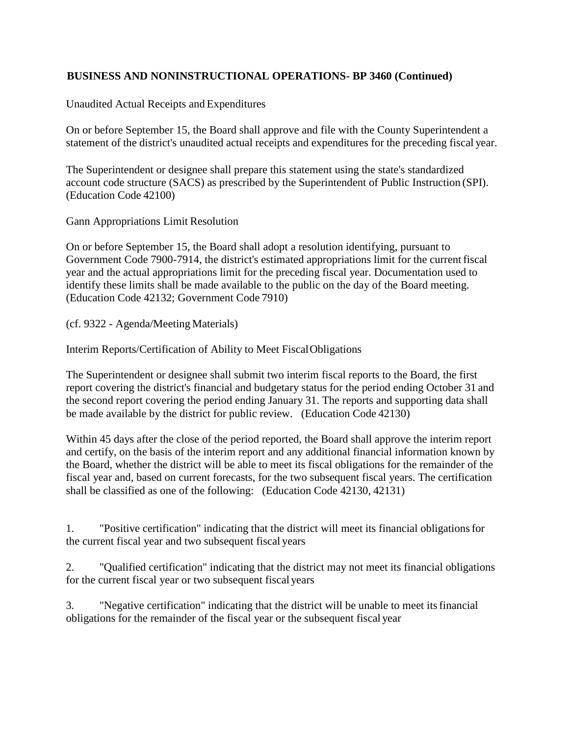Unaudited Actual Receipts and Expenditures

On or before September 15, the Board shall approve and file with the County Superintendent a statement of the district's unaudited actual receipts and expenditures for the preceding fiscal year.

The Superintendent or designee shall prepare this statement using the state's standardized account code structure (SACS) as prescribed by the Superintendent of Public Instruction (SPI). (Education Code 42100)

Gann Appropriations Limit Resolution

On or before September 15, the Board shall adopt a resolution identifying, pursuant to Government Code 7900-7914, the district's estimated appropriations limit for the currentfiscal year and the actual appropriations limit for the preceding fiscal year. Documentation used to identify these limits shall be made available to the public on the day of the Board meeting. (Education Code 42132; Government Code 7910)

(cf. 9322 - Agenda/Meeting Materials)

Interim Reports/Certification of Ability to Meet FiscalObligations

The Superintendent or designee shall submit two interim fiscal reports to the Board, the first report covering the district's financial and budgetary status for the period ending October 31 and the second report covering the period ending January 31. The reports and supporting data shall be made available by the district for public review. (Education Code 42130)

Within 45 days after the close of the period reported, the Board shall approve the interim report and certify, on the basis of the interim report and any additional financial information known by the Board, whether the district will be able to meet its fiscal obligations for the remainder of the fiscal year and, based on current forecasts, for the two subsequent fiscal years. The certification shall be classified as one of the following: (Education Code 42130, 42131)

1. "Positive certification" indicating that the district will meet its financial obligationsfor the current fiscal year and two subsequent fiscal years

2. "Qualified certification" indicating that the district may not meet its financial obligations for the current fiscal year or two subsequent fiscal years

3. "Negative certification" indicating that the district will be unable to meet itsfinancial obligations for the remainder of the fiscal year or the subsequent fiscal year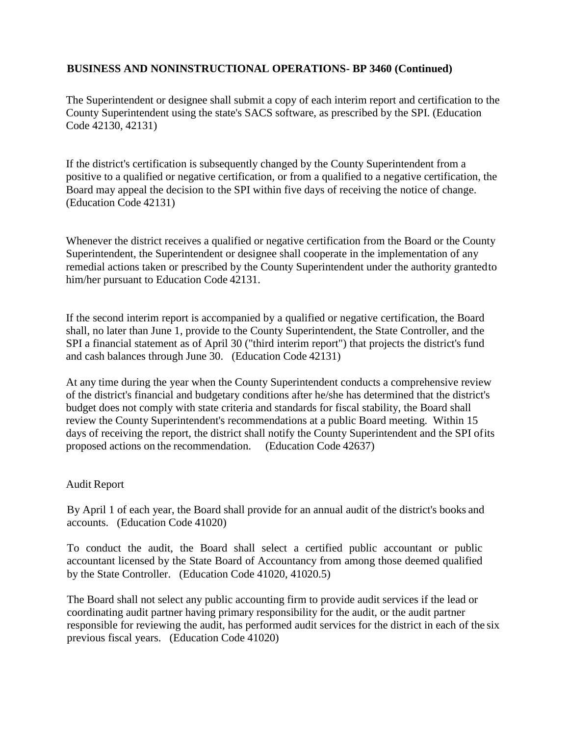The Superintendent or designee shall submit a copy of each interim report and certification to the County Superintendent using the state's SACS software, as prescribed by the SPI. (Education Code 42130, 42131)

If the district's certification is subsequently changed by the County Superintendent from a positive to a qualified or negative certification, or from a qualified to a negative certification, the Board may appeal the decision to the SPI within five days of receiving the notice of change. (Education Code 42131)

Whenever the district receives a qualified or negative certification from the Board or the County Superintendent, the Superintendent or designee shall cooperate in the implementation of any remedial actions taken or prescribed by the County Superintendent under the authority grantedto him/her pursuant to Education Code 42131.

If the second interim report is accompanied by a qualified or negative certification, the Board shall, no later than June 1, provide to the County Superintendent, the State Controller, and the SPI a financial statement as of April 30 ("third interim report") that projects the district's fund and cash balances through June 30. (Education Code 42131)

At any time during the year when the County Superintendent conducts a comprehensive review of the district's financial and budgetary conditions after he/she has determined that the district's budget does not comply with state criteria and standards for fiscal stability, the Board shall review the County Superintendent's recommendations at a public Board meeting. Within 15 days of receiving the report, the district shall notify the County Superintendent and the SPI ofits proposed actions on the recommendation. (Education Code 42637)

#### Audit Report

By April 1 of each year, the Board shall provide for an annual audit of the district's books and accounts. (Education Code 41020)

To conduct the audit, the Board shall select a certified public accountant or public accountant licensed by the State Board of Accountancy from among those deemed qualified by the State Controller. (Education Code 41020, 41020.5)

The Board shall not select any public accounting firm to provide audit services if the lead or coordinating audit partner having primary responsibility for the audit, or the audit partner responsible for reviewing the audit, has performed audit services for the district in each of the six previous fiscal years. (Education Code 41020)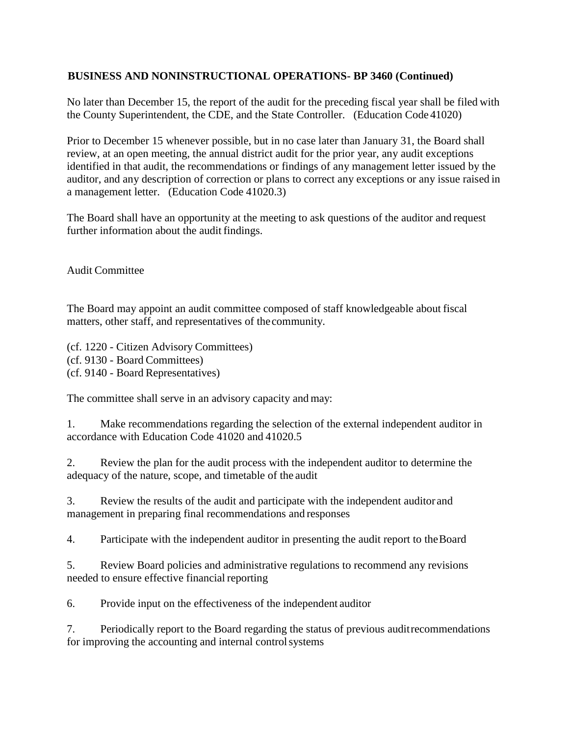No later than December 15, the report of the audit for the preceding fiscal year shall be filed with the County Superintendent, the CDE, and the State Controller. (Education Code 41020)

Prior to December 15 whenever possible, but in no case later than January 31, the Board shall review, at an open meeting, the annual district audit for the prior year, any audit exceptions identified in that audit, the recommendations or findings of any management letter issued by the auditor, and any description of correction or plans to correct any exceptions or any issue raised in a management letter. (Education Code 41020.3)

The Board shall have an opportunity at the meeting to ask questions of the auditor and request further information about the audit findings.

Audit Committee

The Board may appoint an audit committee composed of staff knowledgeable about fiscal matters, other staff, and representatives of the community.

(cf. 1220 - Citizen Advisory Committees) (cf. 9130 - Board Committees) (cf. 9140 - Board Representatives)

The committee shall serve in an advisory capacity and may:

1. Make recommendations regarding the selection of the external independent auditor in accordance with Education Code 41020 and 41020.5

2. Review the plan for the audit process with the independent auditor to determine the adequacy of the nature, scope, and timetable of the audit

3. Review the results of the audit and participate with the independent auditor and management in preparing final recommendations and responses

4. Participate with the independent auditor in presenting the audit report to theBoard

5. Review Board policies and administrative regulations to recommend any revisions needed to ensure effective financial reporting

6. Provide input on the effectiveness of the independent auditor

7. Periodically report to the Board regarding the status of previous auditrecommendations for improving the accounting and internal controlsystems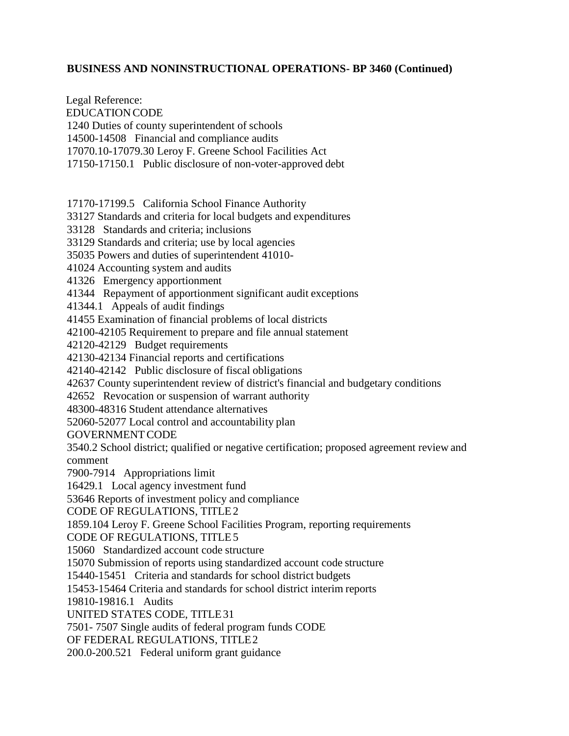EDUCATION CODE 1240 Duties of county superintendent of schools 14500-14508 Financial and compliance audits 17070.10-17079.30 Leroy F. Greene School Facilities Act 17150-17150.1 Public disclosure of non-voter-approved debt 17170-17199.5 California School Finance Authority 33127 Standards and criteria for local budgets and expenditures 33128 Standards and criteria; inclusions 33129 Standards and criteria; use by local agencies 35035 Powers and duties of superintendent 41010- 41024 Accounting system and audits 41326 Emergency apportionment 41344 Repayment of apportionment significant audit exceptions 41344.1 Appeals of audit findings 41455 Examination of financial problems of local districts 42100-42105 Requirement to prepare and file annual statement 42120-42129 Budget requirements 42130-42134 Financial reports and certifications 42140-42142 Public disclosure of fiscal obligations 42637 County superintendent review of district's financial and budgetary conditions 42652 Revocation or suspension of warrant authority 48300-48316 Student attendance alternatives 52060-52077 Local control and accountability plan GOVERNMENTCODE 3540.2 School district; qualified or negative certification; proposed agreement review and comment 7900-7914 Appropriations limit 16429.1 Local agency investment fund 53646 Reports of investment policy and compliance CODE OF REGULATIONS, TITLE2 1859.104 Leroy F. Greene School Facilities Program, reporting requirements CODE OF REGULATIONS, TITLE5 15060 Standardized account code structure 15070 Submission of reports using standardized account code structure 15440-15451 Criteria and standards for school district budgets

15453-15464 Criteria and standards for school district interim reports

19810-19816.1 Audits

Legal Reference:

UNITED STATES CODE, TITLE31

7501- 7507 Single audits of federal program funds CODE

OF FEDERAL REGULATIONS, TITLE2

200.0-200.521 Federal uniform grant guidance